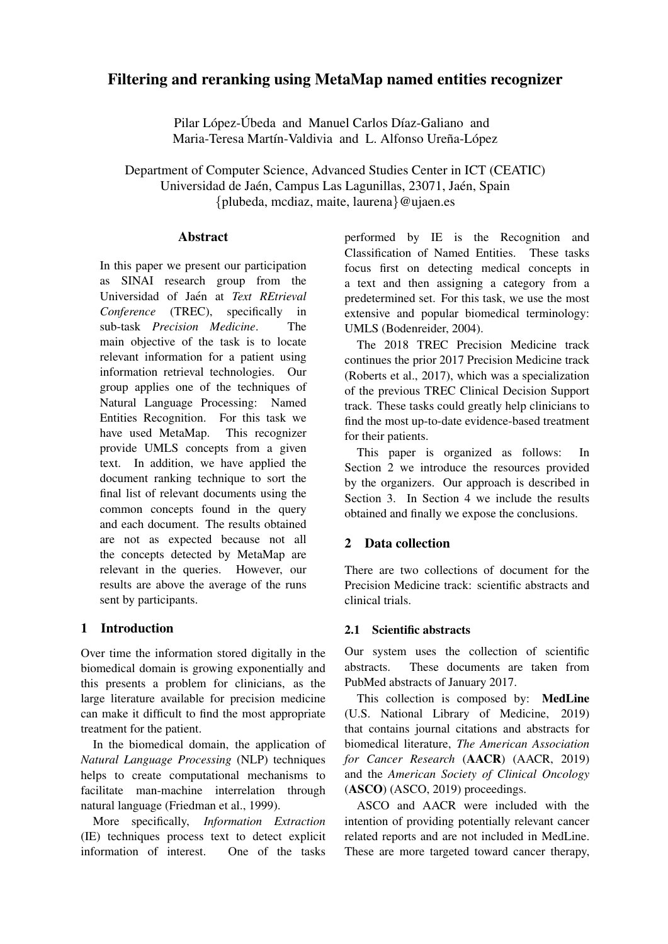# Filtering and reranking using MetaMap named entities recognizer

Pilar López-Úbeda and Manuel Carlos Díaz-Galiano and Maria-Teresa Martín-Valdivia and L. Alfonso Ureña-López

Department of Computer Science, Advanced Studies Center in ICT (CEATIC) Universidad de Jaén, Campus Las Lagunillas, 23071, Jaén, Spain {plubeda, mcdiaz, maite, laurena}@ujaen.es

#### **Abstract**

In this paper we present our participation as SINAI research group from the Universidad of Jaén at Text REtrieval *Conference* (TREC), specifically in sub-task *Precision Medicine*. The main objective of the task is to locate relevant information for a patient using information retrieval technologies. Our group applies one of the techniques of Natural Language Processing: Named Entities Recognition. For this task we have used MetaMap. This recognizer provide UMLS concepts from a given text. In addition, we have applied the document ranking technique to sort the final list of relevant documents using the common concepts found in the query and each document. The results obtained are not as expected because not all the concepts detected by MetaMap are relevant in the queries. However, our results are above the average of the runs sent by participants.

## 1 Introduction

Over time the information stored digitally in the biomedical domain is growing exponentially and this presents a problem for clinicians, as the large literature available for precision medicine can make it difficult to find the most appropriate treatment for the patient.

In the biomedical domain, the application of *Natural Language Processing* (NLP) techniques helps to create computational mechanisms to facilitate man-machine interrelation through natural language (Friedman et al., 1999).

More specifically, *Information Extraction* (IE) techniques process text to detect explicit information of interest. One of the tasks performed by IE is the Recognition and Classification of Named Entities. These tasks focus first on detecting medical concepts in a text and then assigning a category from a predetermined set. For this task, we use the most extensive and popular biomedical terminology: UMLS (Bodenreider, 2004).

The 2018 TREC Precision Medicine track continues the prior 2017 Precision Medicine track (Roberts et al., 2017), which was a specialization of the previous TREC Clinical Decision Support track. These tasks could greatly help clinicians to find the most up-to-date evidence-based treatment for their patients.

This paper is organized as follows: In Section 2 we introduce the resources provided by the organizers. Our approach is described in Section 3. In Section 4 we include the results obtained and finally we expose the conclusions.

## 2 Data collection

There are two collections of document for the Precision Medicine track: scientific abstracts and clinical trials.

### 2.1 Scientific abstracts

Our system uses the collection of scientific abstracts. These documents are taken from PubMed abstracts of January 2017.

This collection is composed by: MedLine (U.S. National Library of Medicine, 2019) that contains journal citations and abstracts for biomedical literature, *The American Association for Cancer Research* (AACR) (AACR, 2019) and the *American Society of Clinical Oncology* (ASCO) (ASCO, 2019) proceedings.

ASCO and AACR were included with the intention of providing potentially relevant cancer related reports and are not included in MedLine. These are more targeted toward cancer therapy,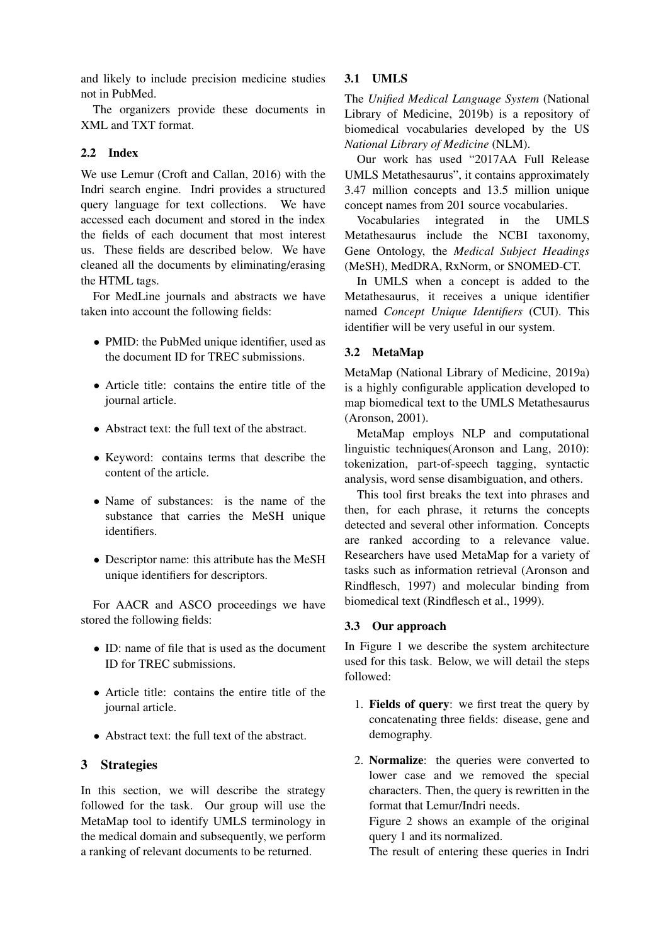and likely to include precision medicine studies not in PubMed.

The organizers provide these documents in XML and TXT format.

#### 2.2 Index

We use Lemur (Croft and Callan, 2016) with the Indri search engine. Indri provides a structured query language for text collections. We have accessed each document and stored in the index the fields of each document that most interest us. These fields are described below. We have cleaned all the documents by eliminating/erasing the HTML tags.

For MedLine journals and abstracts we have taken into account the following fields:

- PMID: the PubMed unique identifier, used as the document ID for TREC submissions.
- Article title: contains the entire title of the journal article.
- Abstract text: the full text of the abstract.
- Keyword: contains terms that describe the content of the article.
- Name of substances: is the name of the substance that carries the MeSH unique identifiers.
- Descriptor name: this attribute has the MeSH unique identifiers for descriptors.

For AACR and ASCO proceedings we have stored the following fields:

- ID: name of file that is used as the document ID for TREC submissions.
- Article title: contains the entire title of the journal article.
- Abstract text: the full text of the abstract.

### 3 Strategies

In this section, we will describe the strategy followed for the task. Our group will use the MetaMap tool to identify UMLS terminology in the medical domain and subsequently, we perform a ranking of relevant documents to be returned.

#### 3.1 UMLS

The *Unified Medical Language System* (National Library of Medicine, 2019b) is a repository of biomedical vocabularies developed by the US *National Library of Medicine* (NLM).

Our work has used "2017AA Full Release UMLS Metathesaurus", it contains approximately 3.47 million concepts and 13.5 million unique concept names from 201 source vocabularies.

Vocabularies integrated in the UMLS Metathesaurus include the NCBI taxonomy, Gene Ontology, the *Medical Subject Headings* (MeSH), MedDRA, RxNorm, or SNOMED-CT.

In UMLS when a concept is added to the Metathesaurus, it receives a unique identifier named *Concept Unique Identifiers* (CUI). This identifier will be very useful in our system.

### 3.2 MetaMap

MetaMap (National Library of Medicine, 2019a) is a highly configurable application developed to map biomedical text to the UMLS Metathesaurus (Aronson, 2001).

MetaMap employs NLP and computational linguistic techniques(Aronson and Lang, 2010): tokenization, part-of-speech tagging, syntactic analysis, word sense disambiguation, and others.

This tool first breaks the text into phrases and then, for each phrase, it returns the concepts detected and several other information. Concepts are ranked according to a relevance value. Researchers have used MetaMap for a variety of tasks such as information retrieval (Aronson and Rindflesch, 1997) and molecular binding from biomedical text (Rindflesch et al., 1999).

### 3.3 Our approach

In Figure 1 we describe the system architecture used for this task. Below, we will detail the steps followed:

- 1. Fields of query: we first treat the query by concatenating three fields: disease, gene and demography.
- 2. Normalize: the queries were converted to lower case and we removed the special characters. Then, the query is rewritten in the format that Lemur/Indri needs.

Figure 2 shows an example of the original query 1 and its normalized.

The result of entering these queries in Indri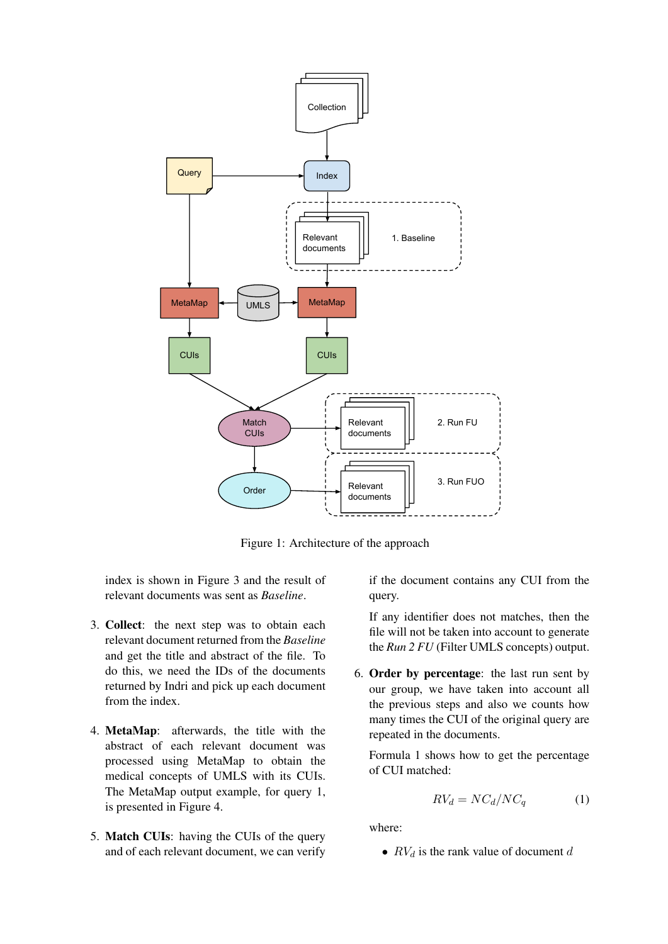

Figure 1: Architecture of the approach

index is shown in Figure 3 and the result of relevant documents was sent as *Baseline*.

- 3. Collect: the next step was to obtain each relevant document returned from the *Baseline* and get the title and abstract of the file. To do this, we need the IDs of the documents returned by Indri and pick up each document from the index.
- 4. MetaMap: afterwards, the title with the abstract of each relevant document was processed using MetaMap to obtain the medical concepts of UMLS with its CUIs. The MetaMap output example, for query 1, is presented in Figure 4.
- 5. Match CUIs: having the CUIs of the query and of each relevant document, we can verify

if the document contains any CUI from the query.

If any identifier does not matches, then the file will not be taken into account to generate the *Run 2 FU* (Filter UMLS concepts) output.

6. Order by percentage: the last run sent by our group, we have taken into account all the previous steps and also we counts how many times the CUI of the original query are repeated in the documents.

Formula 1 shows how to get the percentage of CUI matched:

$$
RV_d = NC_d/NC_q \tag{1}
$$

where:

•  $RV_d$  is the rank value of document d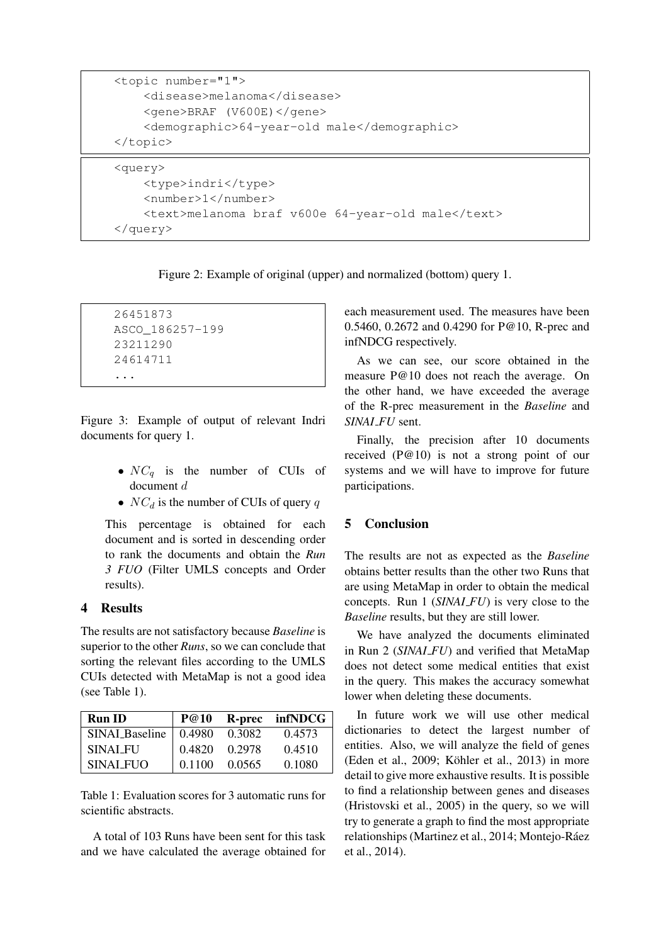```
<topic number="1">
    <disease>melanoma</disease>
    <gene>BRAF (V600E)</gene>
    <demographic>64-year-old male</demographic>
</topic>
<query>
    <type>indri</type>
    <number>1</number>
    <text>melanoma braf v600e 64-year-old male</text>
```
Figure 2: Example of original (upper) and normalized (bottom) query 1.

```
26451873
ASCO_186257-199
23211290
24614711
...
```
</query>

Figure 3: Example of output of relevant Indri documents for query 1.

- $NC_q$  is the number of CUIs of document d
- $NC_d$  is the number of CUIs of query q

This percentage is obtained for each document and is sorted in descending order to rank the documents and obtain the *Run 3 FUO* (Filter UMLS concepts and Order results).

## 4 Results

The results are not satisfactory because *Baseline* is superior to the other *Runs*, so we can conclude that sorting the relevant files according to the UMLS CUIs detected with MetaMap is not a good idea (see Table 1).

| <b>Run ID</b>              | <b>P@10</b> |        | R-prec infNDCG |
|----------------------------|-------------|--------|----------------|
| $SINAL_B aseline$   0.4980 |             | 0.3082 | 0.4573         |
| SINAI FU                   | 0.4820      | 0.2978 | 0.4510         |
| SINAI FUO                  | 0.1100      | 0.0565 | 0.1080         |

Table 1: Evaluation scores for 3 automatic runs for scientific abstracts.

A total of 103 Runs have been sent for this task and we have calculated the average obtained for each measurement used. The measures have been 0.5460, 0.2672 and 0.4290 for P@10, R-prec and infNDCG respectively.

As we can see, our score obtained in the measure P@10 does not reach the average. On the other hand, we have exceeded the average of the R-prec measurement in the *Baseline* and *SINAI FU* sent.

Finally, the precision after 10 documents received (P@10) is not a strong point of our systems and we will have to improve for future participations.

# 5 Conclusion

The results are not as expected as the *Baseline* obtains better results than the other two Runs that are using MetaMap in order to obtain the medical concepts. Run 1 (*SINAI FU*) is very close to the *Baseline* results, but they are still lower.

We have analyzed the documents eliminated in Run 2 (*SINAI FU*) and verified that MetaMap does not detect some medical entities that exist in the query. This makes the accuracy somewhat lower when deleting these documents.

In future work we will use other medical dictionaries to detect the largest number of entities. Also, we will analyze the field of genes (Eden et al., 2009; Köhler et al., 2013) in more detail to give more exhaustive results. It is possible to find a relationship between genes and diseases (Hristovski et al., 2005) in the query, so we will try to generate a graph to find the most appropriate relationships (Martinez et al., 2014; Montejo-Ráez et al., 2014).